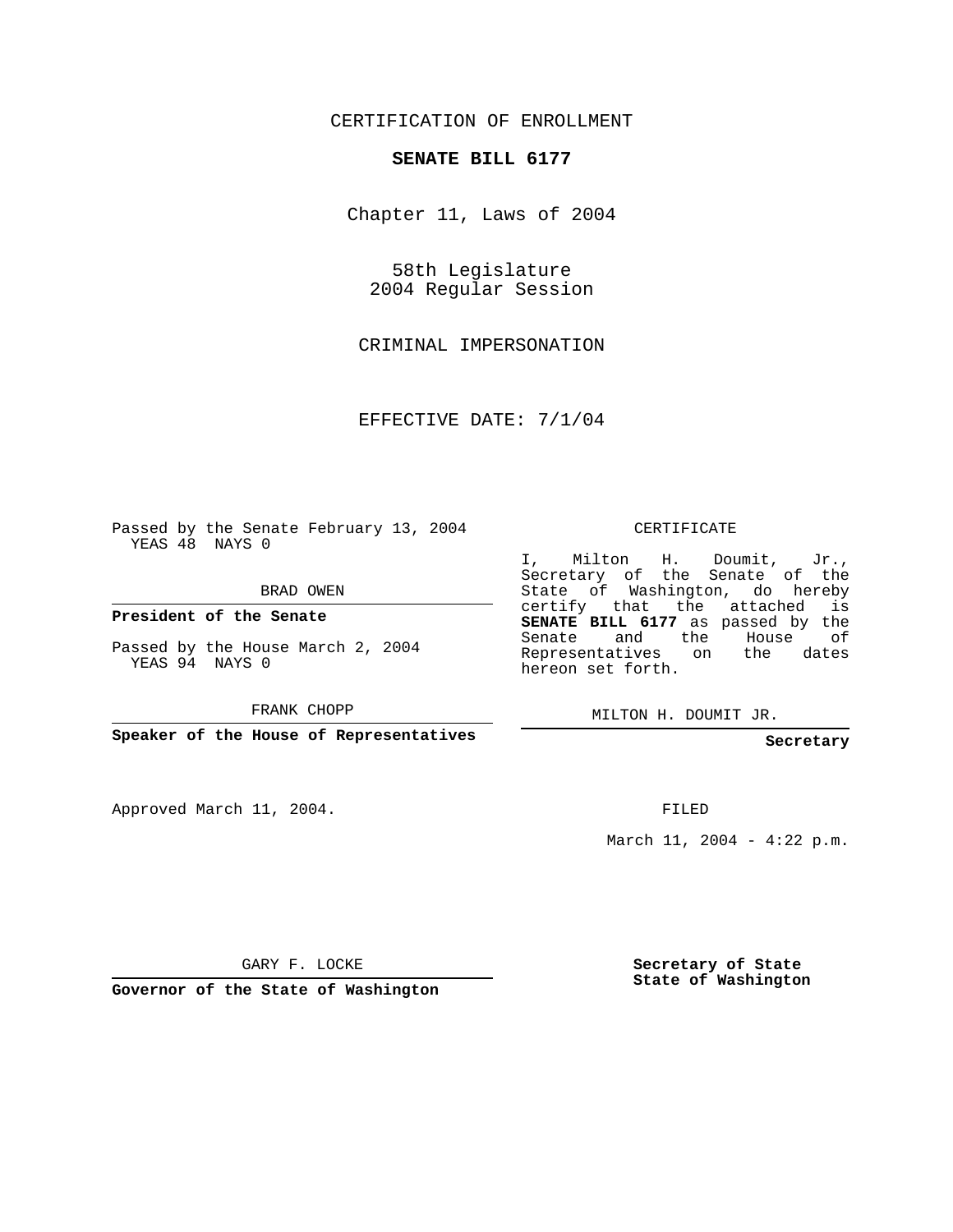## CERTIFICATION OF ENROLLMENT

## **SENATE BILL 6177**

Chapter 11, Laws of 2004

58th Legislature 2004 Regular Session

CRIMINAL IMPERSONATION

EFFECTIVE DATE: 7/1/04

Passed by the Senate February 13, 2004 YEAS 48 NAYS 0

BRAD OWEN

**President of the Senate**

Passed by the House March 2, 2004 YEAS 94 NAYS 0

FRANK CHOPP

**Speaker of the House of Representatives**

Approved March 11, 2004.

CERTIFICATE

I, Milton H. Doumit, Jr., Secretary of the Senate of the State of Washington, do hereby certify that the attached is **SENATE BILL 6177** as passed by the Senate and the House of Representatives on the dates hereon set forth.

MILTON H. DOUMIT JR.

**Secretary**

FILED

March 11, 2004 - 4:22 p.m.

GARY F. LOCKE

**Governor of the State of Washington**

**Secretary of State State of Washington**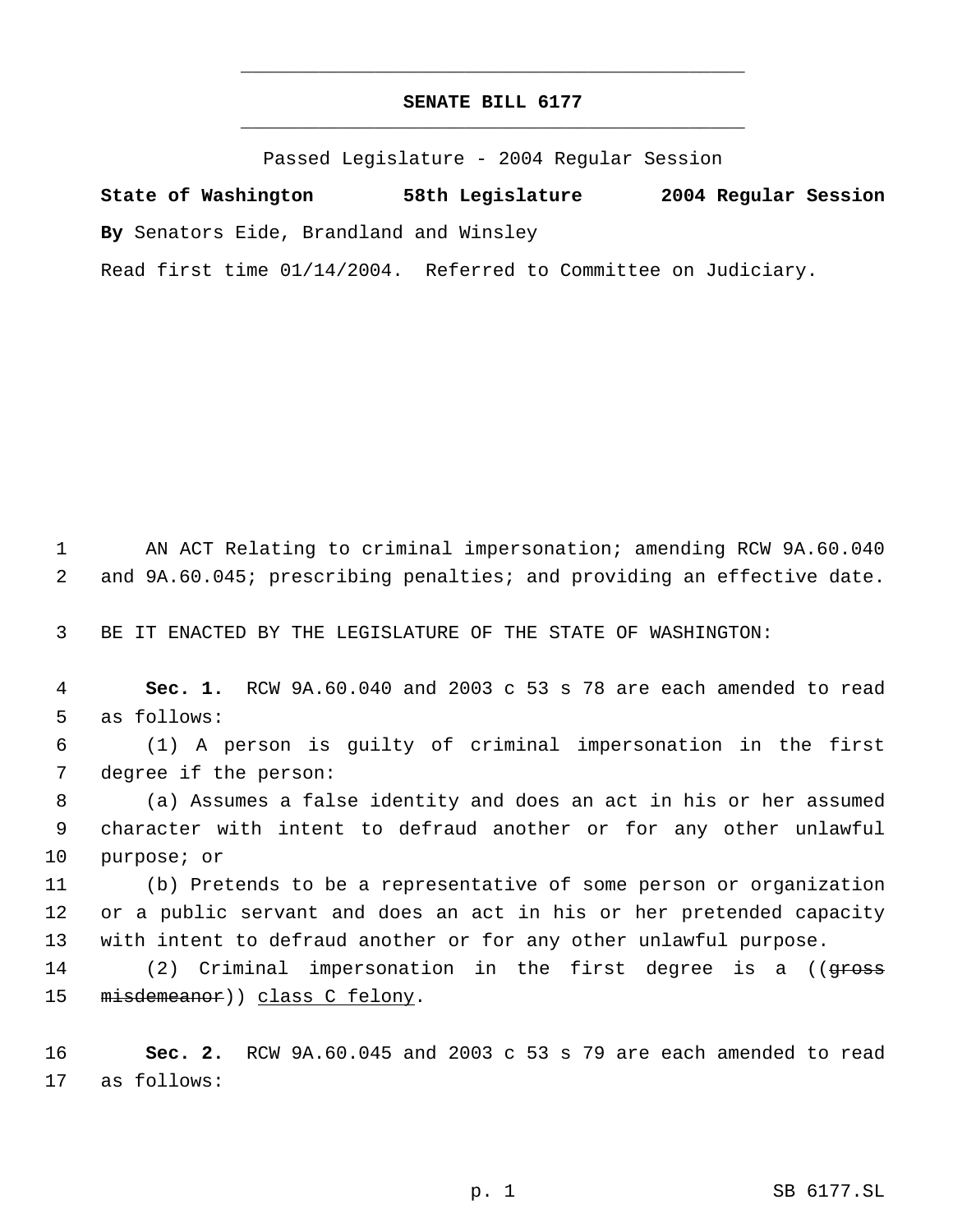## **SENATE BILL 6177** \_\_\_\_\_\_\_\_\_\_\_\_\_\_\_\_\_\_\_\_\_\_\_\_\_\_\_\_\_\_\_\_\_\_\_\_\_\_\_\_\_\_\_\_\_

\_\_\_\_\_\_\_\_\_\_\_\_\_\_\_\_\_\_\_\_\_\_\_\_\_\_\_\_\_\_\_\_\_\_\_\_\_\_\_\_\_\_\_\_\_

Passed Legislature - 2004 Regular Session

**State of Washington 58th Legislature 2004 Regular Session By** Senators Eide, Brandland and Winsley Read first time 01/14/2004. Referred to Committee on Judiciary.

 1 AN ACT Relating to criminal impersonation; amending RCW 9A.60.040 2 and 9A.60.045; prescribing penalties; and providing an effective date.

3 BE IT ENACTED BY THE LEGISLATURE OF THE STATE OF WASHINGTON:

 4 **Sec. 1.** RCW 9A.60.040 and 2003 c 53 s 78 are each amended to read 5 as follows:

 6 (1) A person is guilty of criminal impersonation in the first 7 degree if the person:

 8 (a) Assumes a false identity and does an act in his or her assumed 9 character with intent to defraud another or for any other unlawful 10 purpose; or

11 (b) Pretends to be a representative of some person or organization 12 or a public servant and does an act in his or her pretended capacity 13 with intent to defraud another or for any other unlawful purpose.

14 (2) Criminal impersonation in the first degree is a ((<del>gross</del> 15 misdemeanor)) class C felony.

16 **Sec. 2.** RCW 9A.60.045 and 2003 c 53 s 79 are each amended to read 17 as follows: